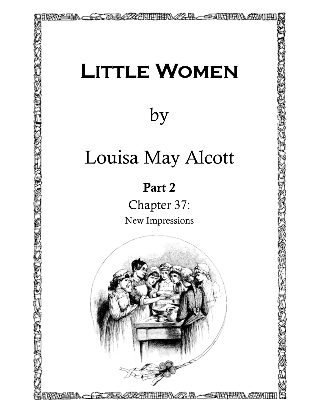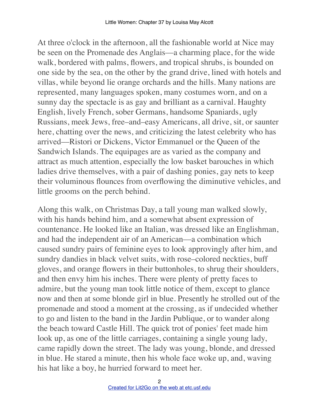At three o'clock in the afternoon, all the fashionable world at Nice may be seen on the Promenade des Anglais––a charming place, for the wide walk, bordered with palms, flowers, and tropical shrubs, is bounded on one side by the sea, on the other by the grand drive, lined with hotels and villas, while beyond lie orange orchards and the hills. Many nations are represented, many languages spoken, many costumes worn, and on a sunny day the spectacle is as gay and brilliant as a carnival. Haughty English, lively French, sober Germans, handsome Spaniards, ugly Russians, meek Jews, free–and–easy Americans, all drive, sit, or saunter here, chatting over the news, and criticizing the latest celebrity who has arrived––Ristori or Dickens, Victor Emmanuel or the Queen of the Sandwich Islands. The equipages are as varied as the company and attract as much attention, especially the low basket barouches in which ladies drive themselves, with a pair of dashing ponies, gay nets to keep their voluminous flounces from overflowing the diminutive vehicles, and little grooms on the perch behind.

Along this walk, on Christmas Day, a tall young man walked slowly, with his hands behind him, and a somewhat absent expression of countenance. He looked like an Italian, was dressed like an Englishman, and had the independent air of an American––a combination which caused sundry pairs of feminine eyes to look approvingly after him, and sundry dandies in black velvet suits, with rose–colored neckties, buff gloves, and orange flowers in their buttonholes, to shrug their shoulders, and then envy him his inches. There were plenty of pretty faces to admire, but the young man took little notice of them, except to glance now and then at some blonde girl in blue. Presently he strolled out of the promenade and stood a moment at the crossing, as if undecided whether to go and listen to the band in the Jardin Publique, or to wander along the beach toward Castle Hill. The quick trot of ponies' feet made him look up, as one of the little carriages, containing a single young lady, came rapidly down the street. The lady was young, blonde, and dressed in blue. He stared a minute, then his whole face woke up, and, waving his hat like a boy, he hurried forward to meet her.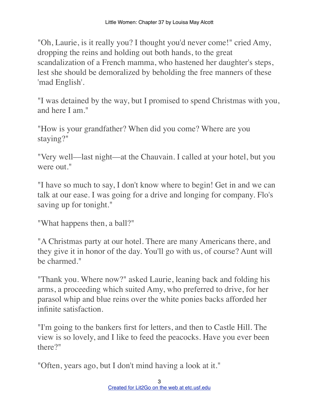"Oh, Laurie, is it really you? I thought you'd never come!" cried Amy, dropping the reins and holding out both hands, to the great scandalization of a French mamma, who hastened her daughter's steps, lest she should be demoralized by beholding the free manners of these 'mad English'.

"I was detained by the way, but I promised to spend Christmas with you, and here I am."

"How is your grandfather? When did you come? Where are you staying?"

"Very well––last night––at the Chauvain. I called at your hotel, but you were out."

"I have so much to say, I don't know where to begin! Get in and we can talk at our ease. I was going for a drive and longing for company. Flo's saving up for tonight."

"What happens then, a ball?"

"A Christmas party at our hotel. There are many Americans there, and they give it in honor of the day. You'll go with us, of course? Aunt will be charmed."

"Thank you. Where now?" asked Laurie, leaning back and folding his arms, a proceeding which suited Amy, who preferred to drive, for her parasol whip and blue reins over the white ponies backs afforded her infinite satisfaction.

"I'm going to the bankers first for letters, and then to Castle Hill. The view is so lovely, and I like to feed the peacocks. Have you ever been there?"

"Often, years ago, but I don't mind having a look at it."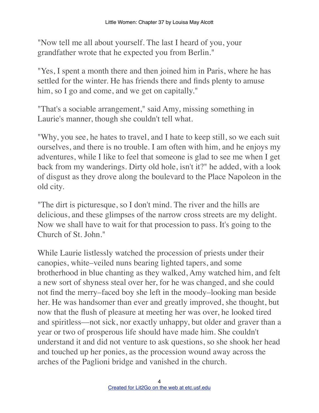"Now tell me all about yourself. The last I heard of you, your grandfather wrote that he expected you from Berlin."

"Yes, I spent a month there and then joined him in Paris, where he has settled for the winter. He has friends there and finds plenty to amuse him, so I go and come, and we get on capitally."

"That's a sociable arrangement," said Amy, missing something in Laurie's manner, though she couldn't tell what.

"Why, you see, he hates to travel, and I hate to keep still, so we each suit ourselves, and there is no trouble. I am often with him, and he enjoys my adventures, while I like to feel that someone is glad to see me when I get back from my wanderings. Dirty old hole, isn't it?" he added, with a look of disgust as they drove along the boulevard to the Place Napoleon in the old city.

"The dirt is picturesque, so I don't mind. The river and the hills are delicious, and these glimpses of the narrow cross streets are my delight. Now we shall have to wait for that procession to pass. It's going to the Church of St. John."

While Laurie listlessly watched the procession of priests under their canopies, white–veiled nuns bearing lighted tapers, and some brotherhood in blue chanting as they walked, Amy watched him, and felt a new sort of shyness steal over her, for he was changed, and she could not find the merry–faced boy she left in the moody–looking man beside her. He was handsomer than ever and greatly improved, she thought, but now that the flush of pleasure at meeting her was over, he looked tired and spiritless––not sick, nor exactly unhappy, but older and graver than a year or two of prosperous life should have made him. She couldn't understand it and did not venture to ask questions, so she shook her head and touched up her ponies, as the procession wound away across the arches of the Paglioni bridge and vanished in the church.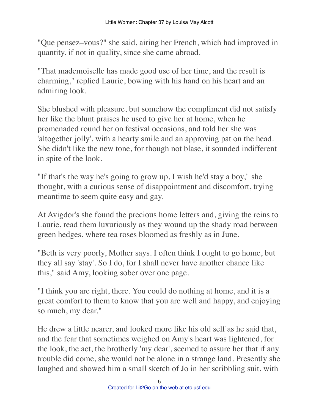"Que pensez–vous?" she said, airing her French, which had improved in quantity, if not in quality, since she came abroad.

"That mademoiselle has made good use of her time, and the result is charming," replied Laurie, bowing with his hand on his heart and an admiring look.

She blushed with pleasure, but somehow the compliment did not satisfy her like the blunt praises he used to give her at home, when he promenaded round her on festival occasions, and told her she was 'altogether jolly', with a hearty smile and an approving pat on the head. She didn't like the new tone, for though not blase, it sounded indifferent in spite of the look.

"If that's the way he's going to grow up, I wish he'd stay a boy," she thought, with a curious sense of disappointment and discomfort, trying meantime to seem quite easy and gay.

At Avigdor's she found the precious home letters and, giving the reins to Laurie, read them luxuriously as they wound up the shady road between green hedges, where tea roses bloomed as freshly as in June.

"Beth is very poorly, Mother says. I often think I ought to go home, but they all say 'stay'. So I do, for I shall never have another chance like this," said Amy, looking sober over one page.

"I think you are right, there. You could do nothing at home, and it is a great comfort to them to know that you are well and happy, and enjoying so much, my dear."

He drew a little nearer, and looked more like his old self as he said that, and the fear that sometimes weighed on Amy's heart was lightened, for the look, the act, the brotherly 'my dear', seemed to assure her that if any trouble did come, she would not be alone in a strange land. Presently she laughed and showed him a small sketch of Jo in her scribbling suit, with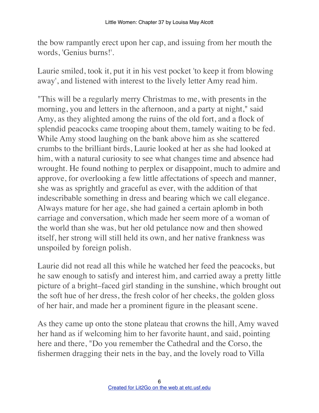the bow rampantly erect upon her cap, and issuing from her mouth the words, 'Genius burns!'.

Laurie smiled, took it, put it in his vest pocket 'to keep it from blowing away', and listened with interest to the lively letter Amy read him.

"This will be a regularly merry Christmas to me, with presents in the morning, you and letters in the afternoon, and a party at night," said Amy, as they alighted among the ruins of the old fort, and a flock of splendid peacocks came trooping about them, tamely waiting to be fed. While Amy stood laughing on the bank above him as she scattered crumbs to the brilliant birds, Laurie looked at her as she had looked at him, with a natural curiosity to see what changes time and absence had wrought. He found nothing to perplex or disappoint, much to admire and approve, for overlooking a few little affectations of speech and manner, she was as sprightly and graceful as ever, with the addition of that indescribable something in dress and bearing which we call elegance. Always mature for her age, she had gained a certain aplomb in both carriage and conversation, which made her seem more of a woman of the world than she was, but her old petulance now and then showed itself, her strong will still held its own, and her native frankness was unspoiled by foreign polish.

Laurie did not read all this while he watched her feed the peacocks, but he saw enough to satisfy and interest him, and carried away a pretty little picture of a bright–faced girl standing in the sunshine, which brought out the soft hue of her dress, the fresh color of her cheeks, the golden gloss of her hair, and made her a prominent figure in the pleasant scene.

As they came up onto the stone plateau that crowns the hill, Amy waved her hand as if welcoming him to her favorite haunt, and said, pointing here and there, "Do you remember the Cathedral and the Corso, the fishermen dragging their nets in the bay, and the lovely road to Villa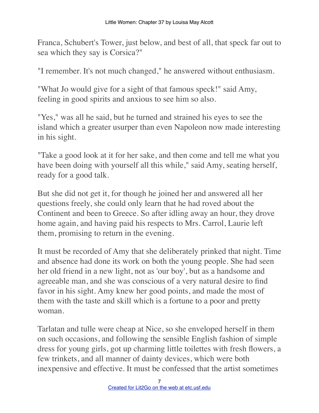Franca, Schubert's Tower, just below, and best of all, that speck far out to sea which they say is Corsica?"

"I remember. It's not much changed," he answered without enthusiasm.

"What Jo would give for a sight of that famous speck!" said Amy, feeling in good spirits and anxious to see him so also.

"Yes," was all he said, but he turned and strained his eyes to see the island which a greater usurper than even Napoleon now made interesting in his sight.

"Take a good look at it for her sake, and then come and tell me what you have been doing with yourself all this while," said Amy, seating herself, ready for a good talk.

But she did not get it, for though he joined her and answered all her questions freely, she could only learn that he had roved about the Continent and been to Greece. So after idling away an hour, they drove home again, and having paid his respects to Mrs. Carrol, Laurie left them, promising to return in the evening.

It must be recorded of Amy that she deliberately prinked that night. Time and absence had done its work on both the young people. She had seen her old friend in a new light, not as 'our boy', but as a handsome and agreeable man, and she was conscious of a very natural desire to find favor in his sight. Amy knew her good points, and made the most of them with the taste and skill which is a fortune to a poor and pretty woman.

Tarlatan and tulle were cheap at Nice, so she enveloped herself in them on such occasions, and following the sensible English fashion of simple dress for young girls, got up charming little toilettes with fresh flowers, a few trinkets, and all manner of dainty devices, which were both inexpensive and effective. It must be confessed that the artist sometimes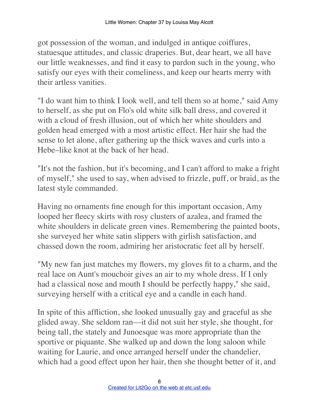got possession of the woman, and indulged in antique coiffures, statuesque attitudes, and classic draperies. But, dear heart, we all have our little weaknesses, and find it easy to pardon such in the young, who satisfy our eyes with their comeliness, and keep our hearts merry with their artless vanities.

"I do want him to think I look well, and tell them so at home," said Amy to herself, as she put on Flo's old white silk ball dress, and covered it with a cloud of fresh illusion, out of which her white shoulders and golden head emerged with a most artistic effect. Her hair she had the sense to let alone, after gathering up the thick waves and curls into a Hebe–like knot at the back of her head.

"It's not the fashion, but it's becoming, and I can't afford to make a fright of myself," she used to say, when advised to frizzle, puff, or braid, as the latest style commanded.

Having no ornaments fine enough for this important occasion, Amy looped her fleecy skirts with rosy clusters of azalea, and framed the white shoulders in delicate green vines. Remembering the painted boots, she surveyed her white satin slippers with girlish satisfaction, and chassed down the room, admiring her aristocratic feet all by herself.

"My new fan just matches my flowers, my gloves fit to a charm, and the real lace on Aunt's mouchoir gives an air to my whole dress. If I only had a classical nose and mouth I should be perfectly happy," she said, surveying herself with a critical eye and a candle in each hand.

In spite of this affliction, she looked unusually gay and graceful as she glided away. She seldom ran––it did not suit her style, she thought, for being tall, the stately and Junoesque was more appropriate than the sportive or piquante. She walked up and down the long saloon while waiting for Laurie, and once arranged herself under the chandelier, which had a good effect upon her hair, then she thought better of it, and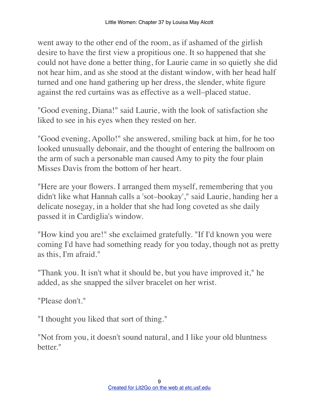went away to the other end of the room, as if ashamed of the girlish desire to have the first view a propitious one. It so happened that she could not have done a better thing, for Laurie came in so quietly she did not hear him, and as she stood at the distant window, with her head half turned and one hand gathering up her dress, the slender, white figure against the red curtains was as effective as a well–placed statue.

"Good evening, Diana!" said Laurie, with the look of satisfaction she liked to see in his eyes when they rested on her.

"Good evening, Apollo!" she answered, smiling back at him, for he too looked unusually debonair, and the thought of entering the ballroom on the arm of such a personable man caused Amy to pity the four plain Misses Davis from the bottom of her heart.

"Here are your flowers. I arranged them myself, remembering that you didn't like what Hannah calls a 'sot–bookay'," said Laurie, handing her a delicate nosegay, in a holder that she had long coveted as she daily passed it in Cardiglia's window.

"How kind you are!" she exclaimed gratefully. "If I'd known you were coming I'd have had something ready for you today, though not as pretty as this, I'm afraid."

"Thank you. It isn't what it should be, but you have improved it," he added, as she snapped the silver bracelet on her wrist.

"Please don't."

"I thought you liked that sort of thing."

"Not from you, it doesn't sound natural, and I like your old bluntness better."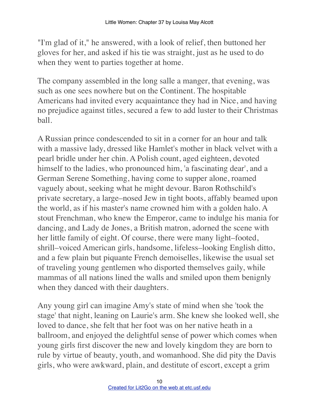"I'm glad of it," he answered, with a look of relief, then buttoned her gloves for her, and asked if his tie was straight, just as he used to do when they went to parties together at home.

The company assembled in the long salle a manger, that evening, was such as one sees nowhere but on the Continent. The hospitable Americans had invited every acquaintance they had in Nice, and having no prejudice against titles, secured a few to add luster to their Christmas ball.

A Russian prince condescended to sit in a corner for an hour and talk with a massive lady, dressed like Hamlet's mother in black velvet with a pearl bridle under her chin. A Polish count, aged eighteen, devoted himself to the ladies, who pronounced him, 'a fascinating dear', and a German Serene Something, having come to supper alone, roamed vaguely about, seeking what he might devour. Baron Rothschild's private secretary, a large–nosed Jew in tight boots, affably beamed upon the world, as if his master's name crowned him with a golden halo. A stout Frenchman, who knew the Emperor, came to indulge his mania for dancing, and Lady de Jones, a British matron, adorned the scene with her little family of eight. Of course, there were many light–footed, shrill–voiced American girls, handsome, lifeless–looking English ditto, and a few plain but piquante French demoiselles, likewise the usual set of traveling young gentlemen who disported themselves gaily, while mammas of all nations lined the walls and smiled upon them benignly when they danced with their daughters.

Any young girl can imagine Amy's state of mind when she 'took the stage' that night, leaning on Laurie's arm. She knew she looked well, she loved to dance, she felt that her foot was on her native heath in a ballroom, and enjoyed the delightful sense of power which comes when young girls first discover the new and lovely kingdom they are born to rule by virtue of beauty, youth, and womanhood. She did pity the Davis girls, who were awkward, plain, and destitute of escort, except a grim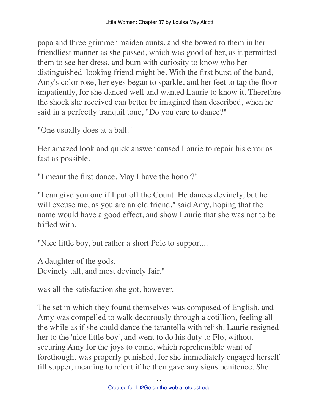papa and three grimmer maiden aunts, and she bowed to them in her friendliest manner as she passed, which was good of her, as it permitted them to see her dress, and burn with curiosity to know who her distinguished–looking friend might be. With the first burst of the band, Amy's color rose, her eyes began to sparkle, and her feet to tap the floor impatiently, for she danced well and wanted Laurie to know it. Therefore the shock she received can better be imagined than described, when he said in a perfectly tranquil tone, "Do you care to dance?"

"One usually does at a ball."

Her amazed look and quick answer caused Laurie to repair his error as fast as possible.

"I meant the first dance. May I have the honor?"

"I can give you one if I put off the Count. He dances devinely, but he will excuse me, as you are an old friend," said Amy, hoping that the name would have a good effect, and show Laurie that she was not to be trifled with.

"Nice little boy, but rather a short Pole to support...

A daughter of the gods, Devinely tall, and most devinely fair,"

was all the satisfaction she got, however.

The set in which they found themselves was composed of English, and Amy was compelled to walk decorously through a cotillion, feeling all the while as if she could dance the tarantella with relish. Laurie resigned her to the 'nice little boy', and went to do his duty to Flo, without securing Amy for the joys to come, which reprehensible want of forethought was properly punished, for she immediately engaged herself till supper, meaning to relent if he then gave any signs penitence. She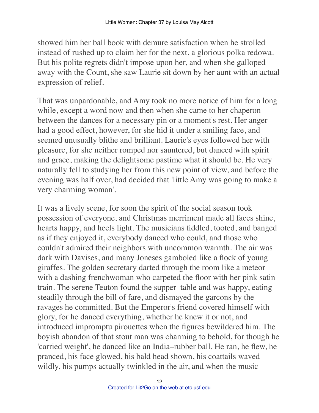showed him her ball book with demure satisfaction when he strolled instead of rushed up to claim her for the next, a glorious polka redowa. But his polite regrets didn't impose upon her, and when she galloped away with the Count, she saw Laurie sit down by her aunt with an actual expression of relief.

That was unpardonable, and Amy took no more notice of him for a long while, except a word now and then when she came to her chaperon between the dances for a necessary pin or a moment's rest. Her anger had a good effect, however, for she hid it under a smiling face, and seemed unusually blithe and brilliant. Laurie's eyes followed her with pleasure, for she neither romped nor sauntered, but danced with spirit and grace, making the delightsome pastime what it should be. He very naturally fell to studying her from this new point of view, and before the evening was half over, had decided that 'little Amy was going to make a very charming woman'.

It was a lively scene, for soon the spirit of the social season took possession of everyone, and Christmas merriment made all faces shine, hearts happy, and heels light. The musicians fiddled, tooted, and banged as if they enjoyed it, everybody danced who could, and those who couldn't admired their neighbors with uncommon warmth. The air was dark with Davises, and many Joneses gamboled like a flock of young giraffes. The golden secretary darted through the room like a meteor with a dashing frenchwoman who carpeted the floor with her pink satin train. The serene Teuton found the supper–table and was happy, eating steadily through the bill of fare, and dismayed the garcons by the ravages he committed. But the Emperor's friend covered himself with glory, for he danced everything, whether he knew it or not, and introduced impromptu pirouettes when the figures bewildered him. The boyish abandon of that stout man was charming to behold, for though he 'carried weight', he danced like an India–rubber ball. He ran, he flew, he pranced, his face glowed, his bald head shown, his coattails waved wildly, his pumps actually twinkled in the air, and when the music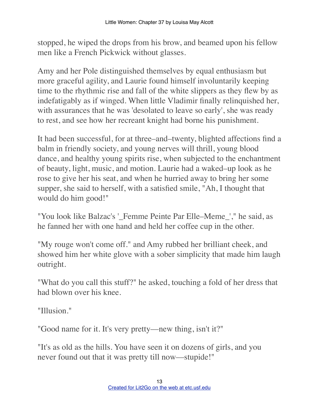stopped, he wiped the drops from his brow, and beamed upon his fellow men like a French Pickwick without glasses.

Amy and her Pole distinguished themselves by equal enthusiasm but more graceful agility, and Laurie found himself involuntarily keeping time to the rhythmic rise and fall of the white slippers as they flew by as indefatigably as if winged. When little Vladimir finally relinquished her, with assurances that he was 'desolated to leave so early', she was ready to rest, and see how her recreant knight had borne his punishment.

It had been successful, for at three–and–twenty, blighted affections find a balm in friendly society, and young nerves will thrill, young blood dance, and healthy young spirits rise, when subjected to the enchantment of beauty, light, music, and motion. Laurie had a waked–up look as he rose to give her his seat, and when he hurried away to bring her some supper, she said to herself, with a satisfied smile, "Ah, I thought that would do him good!"

"You look like Balzac's '\_Femme Peinte Par Elle–Meme\_'," he said, as he fanned her with one hand and held her coffee cup in the other.

"My rouge won't come off." and Amy rubbed her brilliant cheek, and showed him her white glove with a sober simplicity that made him laugh outright.

"What do you call this stuff?" he asked, touching a fold of her dress that had blown over his knee.

"Illusion."

"Good name for it. It's very pretty—new thing, isn't it?"

"It's as old as the hills. You have seen it on dozens of girls, and you never found out that it was pretty till now––stupide!"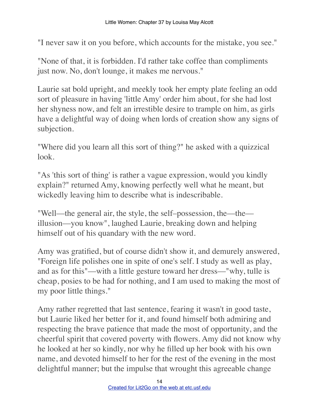"I never saw it on you before, which accounts for the mistake, you see."

"None of that, it is forbidden. I'd rather take coffee than compliments just now. No, don't lounge, it makes me nervous."

Laurie sat bold upright, and meekly took her empty plate feeling an odd sort of pleasure in having 'little Amy' order him about, for she had lost her shyness now, and felt an irrestible desire to trample on him, as girls have a delightful way of doing when lords of creation show any signs of subjection.

"Where did you learn all this sort of thing?" he asked with a quizzical look.

"As 'this sort of thing' is rather a vague expression, would you kindly explain?" returned Amy, knowing perfectly well what he meant, but wickedly leaving him to describe what is indescribable.

"Well––the general air, the style, the self–possession, the––the–– illusion––you know", laughed Laurie, breaking down and helping himself out of his quandary with the new word.

Amy was gratified, but of course didn't show it, and demurely answered, "Foreign life polishes one in spite of one's self. I study as well as play, and as for this"––with a little gesture toward her dress––"why, tulle is cheap, posies to be had for nothing, and I am used to making the most of my poor little things."

Amy rather regretted that last sentence, fearing it wasn't in good taste, but Laurie liked her better for it, and found himself both admiring and respecting the brave patience that made the most of opportunity, and the cheerful spirit that covered poverty with flowers. Amy did not know why he looked at her so kindly, nor why he filled up her book with his own name, and devoted himself to her for the rest of the evening in the most delightful manner; but the impulse that wrought this agreeable change